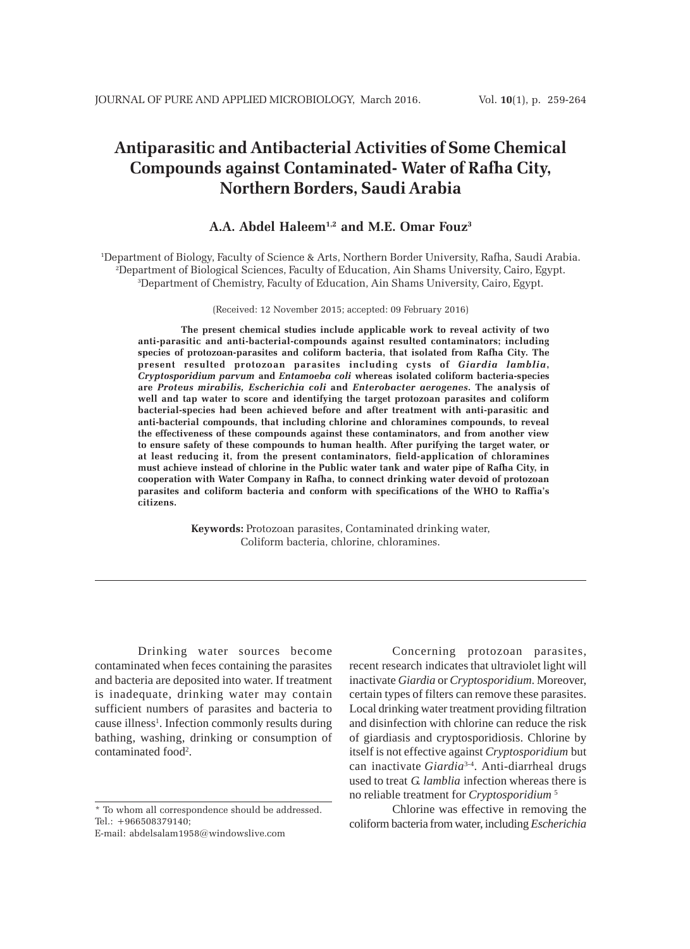# **Antiparasitic and Antibacterial Activities of Some Chemical Compounds against Contaminated- Water of Rafha City, Northern Borders, Saudi Arabia**

# **A.A. Abdel Haleem1,2 and M.E. Omar Fouz3**

1 Department of Biology, Faculty of Science & Arts, Northern Border University, Rafha, Saudi Arabia. 2 Department of Biological Sciences, Faculty of Education, Ain Shams University, Cairo, Egypt. 3 Department of Chemistry, Faculty of Education, Ain Shams University, Cairo, Egypt.

(Received: 12 November 2015; accepted: 09 February 2016)

**The present chemical studies include applicable work to reveal activity of two anti-parasitic and anti-bacterial-compounds against resulted contaminators; including species of protozoan-parasites and coliform bacteria, that isolated from Rafha City. The present resulted protozoan parasites including cysts of** *Giardia lamblia***,** *Cryptosporidium parvum* **and** *Entamoeba coli* **whereas isolated coliform bacteria-species are** *Proteus mirabilis, Escherichia coli* **and** *Enterobacter aerogenes***. The analysis of well and tap water to score and identifying the target protozoan parasites and coliform bacterial-species had been achieved before and after treatment with anti-parasitic and anti-bacterial compounds, that including chlorine and chloramines compounds, to reveal the effectiveness of these compounds against these contaminators, and from another view to ensure safety of these compounds to human health. After purifying the target water, or at least reducing it, from the present contaminators, field-application of chloramines must achieve instead of chlorine in the Public water tank and water pipe of Rafha City, in cooperation with Water Company in Rafha, to connect drinking water devoid of protozoan parasites and coliform bacteria and conform with specifications of the WHO to Raffia's citizens.**

> **Keywords:** Protozoan parasites, Contaminated drinking water, Coliform bacteria, chlorine, chloramines.

Drinking water sources become contaminated when feces containing the parasites and bacteria are deposited into water. If treatment is inadequate, drinking water may contain sufficient numbers of parasites and bacteria to cause illness<sup>1</sup>. Infection commonly results during bathing, washing, drinking or consumption of contaminated food<sup>2</sup>.

Concerning protozoan parasites, recent research indicates that ultraviolet light will inactivate *Giardia* or *Cryptosporidium*. Moreover, certain types of filters can remove these parasites. Local drinking water treatment providing filtration and disinfection with chlorine can reduce the risk of giardiasis and cryptosporidiosis. Chlorine by itself is not effective against *Cryptosporidium* but can inactivate *Giardia*3-4. Anti-diarrheal drugs used to treat *G. lamblia* infection whereas there is no reliable treatment for *Cryptosporidium* <sup>5</sup>

Chlorine was effective in removing the coliform bacteria from water, including *Escherichia*

<sup>\*</sup> To whom all correspondence should be addressed. Tel.: +966508379140;

E-mail: abdelsalam1958@windowslive.com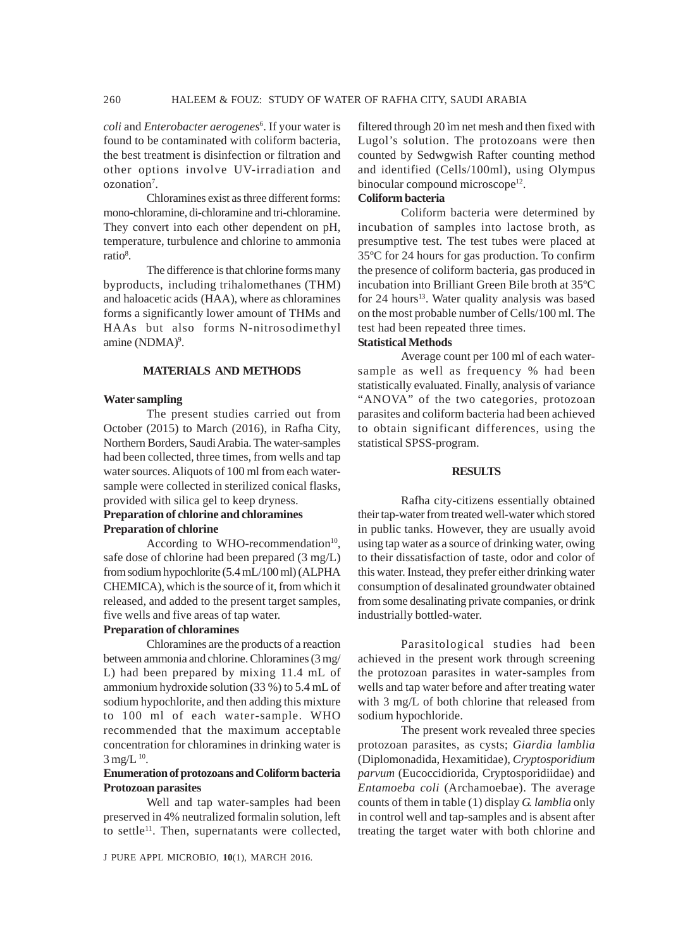*coli* and *Enterobacter aerogenes*<sup>6</sup> . If your water is found to be contaminated with coliform bacteria, the best treatment is disinfection or filtration and other options involve UV-irradiation and ozonation<sup>7</sup>.

Chloramines exist as three different forms: mono-chloramine, di-chloramine and tri-chloramine. They convert into each other dependent on pH, temperature, turbulence and chlorine to ammonia ratio<sup>8</sup>.

The difference is that chlorine forms many byproducts, including trihalomethanes (THM) and haloacetic acids (HAA), where as chloramines forms a significantly lower amount of THMs and HAAs but also forms N-nitrosodimethyl amine (NDMA)<sup>9</sup>.

### **MATERIALS AND METHODS**

#### **Water sampling**

The present studies carried out from October (2015) to March (2016), in Rafha City, Northern Borders, Saudi Arabia. The water-samples had been collected, three times, from wells and tap water sources. Aliquots of 100 ml from each watersample were collected in sterilized conical flasks, provided with silica gel to keep dryness.

# **Preparation of chlorine and chloramines Preparation of chlorine**

According to WHO-recommendation $10$ , safe dose of chlorine had been prepared (3 mg/L) from sodium hypochlorite (5.4 mL/100 ml) (ALPHA CHEMICA), which is the source of it, from which it released, and added to the present target samples, five wells and five areas of tap water.

### **Preparation of chloramines**

Chloramines are the products of a reaction between ammonia and chlorine. Chloramines (3 mg/ L) had been prepared by mixing 11.4 mL of ammonium hydroxide solution (33 %) to 5.4 mL of sodium hypochlorite, and then adding this mixture to 100 ml of each water-sample. WHO recommended that the maximum acceptable concentration for chloramines in drinking water is  $3$  mg/L $^{10}$ .

## **Enumeration of protozoans and Coliform bacteria Protozoan parasites**

Well and tap water-samples had been preserved in 4% neutralized formalin solution, left to settle $11$ . Then, supernatants were collected,

J PURE APPL MICROBIO*,* **10**(1), MARCH 2016.

filtered through 20 ìm net mesh and then fixed with Lugol's solution. The protozoans were then counted by Sedwgwish Rafter counting method and identified (Cells/100ml), using Olympus binocular compound microscope<sup>12</sup>.

# **Coliform bacteria**

Coliform bacteria were determined by incubation of samples into lactose broth, as presumptive test. The test tubes were placed at 35ºC for 24 hours for gas production. To confirm the presence of coliform bacteria, gas produced in incubation into Brilliant Green Bile broth at 35ºC for 24 hours<sup>13</sup>. Water quality analysis was based on the most probable number of Cells/100 ml. The test had been repeated three times.

### **Statistical Methods**

Average count per 100 ml of each watersample as well as frequency % had been statistically evaluated. Finally, analysis of variance "ANOVA" of the two categories, protozoan parasites and coliform bacteria had been achieved to obtain significant differences, using the statistical SPSS-program.

#### **RESULTS**

Rafha city-citizens essentially obtained their tap-water from treated well-water which stored in public tanks. However, they are usually avoid using tap water as a source of drinking water, owing to their dissatisfaction of taste, odor and color of this water. Instead, they prefer either drinking water consumption of desalinated groundwater obtained from some desalinating private companies, or drink industrially bottled-water.

Parasitological studies had been achieved in the present work through screening the protozoan parasites in water-samples from wells and tap water before and after treating water with 3 mg/L of both chlorine that released from sodium hypochloride.

The present work revealed three species protozoan parasites, as cysts; *Giardia lamblia* (Diplomonadida, Hexamitidae), *Cryptosporidium parvum* (Eucoccidiorida, Cryptosporidiidae) and *Entamoeba coli* (Archamoebae). The average counts of them in table (1) display *G. lamblia* only in control well and tap-samples and is absent after treating the target water with both chlorine and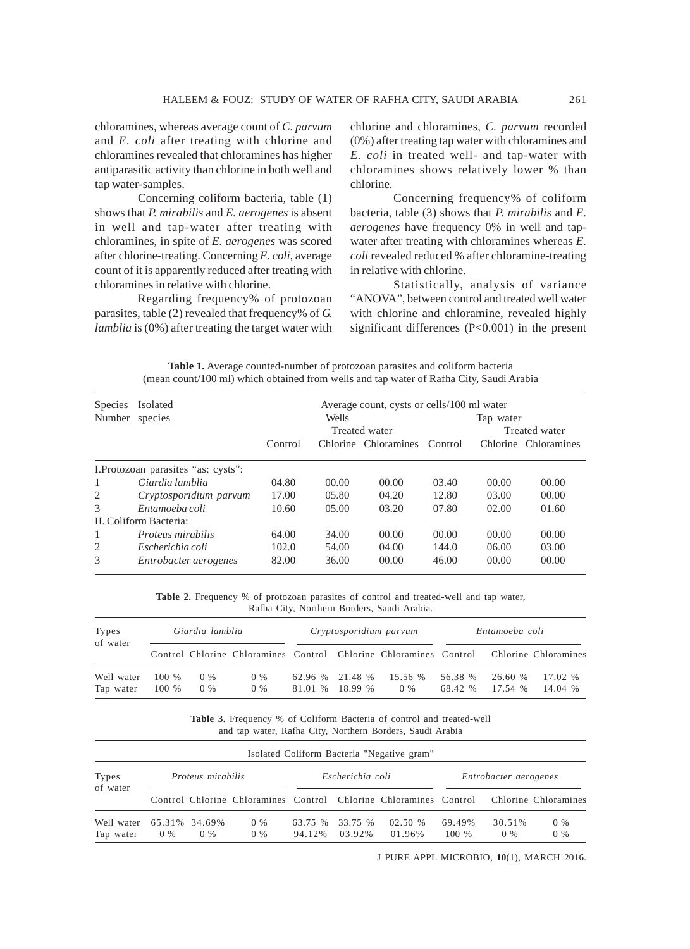chloramines, whereas average count of *C. parvum* and *E. coli* after treating with chlorine and chloramines revealed that chloramines has higher antiparasitic activity than chlorine in both well and tap water-samples.

Concerning coliform bacteria, table (1) shows that *P. mirabilis* and *E. aerogenes* is absent in well and tap-water after treating with chloramines, in spite of *E. aerogenes* was scored after chlorine-treating. Concerning *E. coli*, average count of it is apparently reduced after treating with chloramines in relative with chlorine.

Regarding frequency% of protozoan parasites, table (2) revealed that frequency% of *G. lamblia* is (0%) after treating the target water with chlorine and chloramines, *C. parvum* recorded (0%) after treating tap water with chloramines and *E. coli* in treated well- and tap-water with chloramines shows relatively lower % than chlorine.

Concerning frequency% of coliform bacteria, table (3) shows that *P. mirabilis* and *E. aerogenes* have frequency 0% in well and tapwater after treating with chloramines whereas *E. coli* revealed reduced % after chloramine-treating in relative with chlorine.

Statistically, analysis of variance "ANOVA", between control and treated well water with chlorine and chloramine, revealed highly significant differences (P<0.001) in the present

**Table 1.** Average counted-number of protozoan parasites and coliform bacteria (mean count/100 ml) which obtained from wells and tap water of Rafha City, Saudi Arabia

| <b>Species</b> | Isolated                            | Average count, cysts or cells/100 ml water |        |                      |           |               |                      |  |  |
|----------------|-------------------------------------|--------------------------------------------|--------|----------------------|-----------|---------------|----------------------|--|--|
| Number         | species                             |                                            | Wells  |                      | Tap water |               |                      |  |  |
|                |                                     |                                            |        | <b>Treated</b> water |           | Treated water |                      |  |  |
|                |                                     | Control                                    |        | Chlorine Chloramines | Control   |               | Chlorine Chloramines |  |  |
|                | I. Protozoan parasites "as: cysts": |                                            |        |                      |           |               |                      |  |  |
| 1              | Giardia lamblia                     | 04.80                                      | 00.00  | 00.00                | 03.40     | 00.00         | 00.00                |  |  |
| 2              | Cryptosporidium parvum              | 17.00                                      | 05.80  | 04.20                | 12.80     | 03.00         | 00.00                |  |  |
| $\mathcal{E}$  | Entamoeba coli                      | 10.60                                      | 0.5.00 | 03.20                | 07.80     | 02.00         | 01.60                |  |  |
|                | II. Coliform Bacteria:              |                                            |        |                      |           |               |                      |  |  |
|                | <i>Proteus mirabilis</i>            | 64.00                                      | 34.00  | 00.00                | 00.00     | 00.00         | 00.00                |  |  |
| 2              | Escherichia coli                    | 102.0                                      | 54.00  | 04.00                | 144.0     | 06.00         | 03.00                |  |  |
| 3              | Entrobacter aerogenes               | 82.00                                      | 36.00  | 00.00                | 46.00     | 00.00         | 00.00                |  |  |

**Table 2.** Frequency % of protozoan parasites of control and treated-well and tap water, Rafha City, Northern Borders, Saudi Arabia.

| <b>Types</b><br>of water | Giardia lamblia |                |                                                                                        | Cryptosporidium parvum |                                    |                  | Entamoeba coli     |                    |                   |
|--------------------------|-----------------|----------------|----------------------------------------------------------------------------------------|------------------------|------------------------------------|------------------|--------------------|--------------------|-------------------|
|                          |                 |                | Control Chlorine Chloramines Control Chlorine Chloramines Control Chlorine Chloramines |                        |                                    |                  |                    |                    |                   |
| Well water<br>Tap water  | 100 %<br>100 %  | $0\%$<br>$0\%$ | $0\%$<br>$0\%$                                                                         |                        | 62.96 % 21.48 %<br>81.01 % 18.99 % | 15.56 %<br>$0\%$ | 56.38 %<br>68.42 % | 26.60 %<br>17.54 % | 17.02%<br>14.04 % |

**Table 3.** Frequency % of Coliform Bacteria of control and treated-well and tap water, Rafha City, Northern Borders, Saudi Arabia

| Isolated Coliform Bacteria "Negative gram" |                          |       |                |                  |                           |                                                                   |                       |                 |                      |
|--------------------------------------------|--------------------------|-------|----------------|------------------|---------------------------|-------------------------------------------------------------------|-----------------------|-----------------|----------------------|
| <b>Types</b><br>of water                   | <i>Proteus mirabilis</i> |       |                | Escherichia coli |                           |                                                                   | Entrobacter aerogenes |                 |                      |
|                                            |                          |       |                |                  |                           | Control Chlorine Chloramines Control Chlorine Chloramines Control |                       |                 | Chlorine Chloramines |
| Well water 65.31% 34.69%<br>Tap water      | $0\%$                    | $0\%$ | $0\%$<br>$0\%$ | 94.12%           | 63.75 % 33.75 %<br>03.92% | 02.50%<br>01.96%                                                  | 69.49%<br>100 %       | 30.51%<br>$0\%$ | $0\%$<br>$0\%$       |

J PURE APPL MICROBIO*,* **10**(1), MARCH 2016.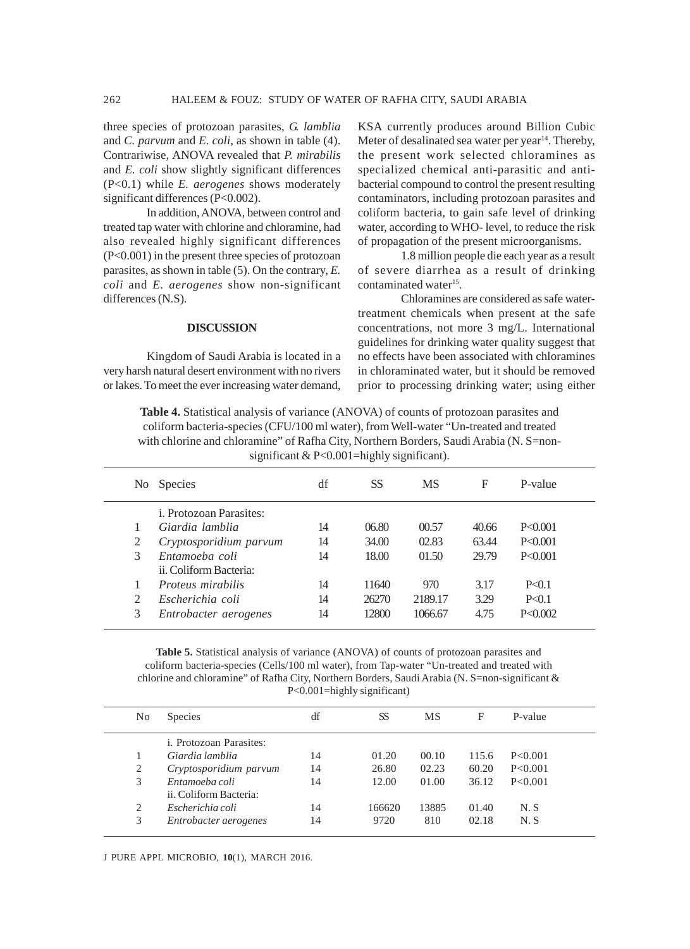three species of protozoan parasites, *G. lamblia* and *C. parvum* and *E. coli*, as shown in table (4). Contrariwise, ANOVA revealed that *P. mirabilis* and *E. coli* show slightly significant differences (P<0.1) while *E. aerogenes* shows moderately significant differences (P<0.002).

In addition, ANOVA, between control and treated tap water with chlorine and chloramine, had also revealed highly significant differences (P<0.001) in the present three species of protozoan parasites, as shown in table (5). On the contrary, *E. coli* and *E. aerogenes* show non-significant differences (N.S).

**DISCUSSION**

Kingdom of Saudi Arabia is located in a very harsh natural desert environment with no rivers or lakes. To meet the ever increasing water demand,

KSA currently produces around Billion Cubic Meter of desalinated sea water per year $14$ . Thereby, the present work selected chloramines as specialized chemical anti-parasitic and antibacterial compound to control the present resulting contaminators, including protozoan parasites and coliform bacteria, to gain safe level of drinking water, according to WHO- level, to reduce the risk of propagation of the present microorganisms.

1.8 million people die each year as a result of severe diarrhea as a result of drinking contaminated water<sup>15</sup>.

Chloramines are considered as safe watertreatment chemicals when present at the safe concentrations, not more 3 mg/L. International guidelines for drinking water quality suggest that no effects have been associated with chloramines in chloraminated water, but it should be removed prior to processing drinking water; using either

**Table 4.** Statistical analysis of variance (ANOVA) of counts of protozoan parasites and coliform bacteria-species (CFU/100 ml water), from Well-water "Un-treated and treated with chlorine and chloramine" of Rafha City, Northern Borders, Saudi Arabia (N. S=nonsignificant & P<0.001=highly significant).

| No.           | <b>Species</b>                 | df | SS    | <b>MS</b> | F     | P-value   |
|---------------|--------------------------------|----|-------|-----------|-------|-----------|
|               | <i>i.</i> Protozoan Parasites: |    |       |           |       |           |
|               | Giardia lamblia                | 14 | 06.80 | 00.57     | 40.66 | P < 0.001 |
| 2             | Cryptosporidium parvum         | 14 | 34.00 | 02.83     | 63.44 | P < 0.001 |
| $\mathcal{E}$ | Entamoeba coli                 | 14 | 18.00 | 01.50     | 29.79 | P < 0.001 |
|               | ii. Coliform Bacteria:         |    |       |           |       |           |
|               | <i>Proteus mirabilis</i>       | 14 | 11640 | 970       | 3.17  | P < 0.1   |
| $\mathcal{D}$ | Escherichia coli               | 14 | 26270 | 2189.17   | 3.29  | P < 0.1   |
| 3             | Entrobacter aerogenes          | 14 | 12800 | 1066.67   | 4.75  | P < 0.002 |

**Table 5.** Statistical analysis of variance (ANOVA) of counts of protozoan parasites and coliform bacteria-species (Cells/100 ml water), from Tap-water "Un-treated and treated with chlorine and chloramine" of Rafha City, Northern Borders, Saudi Arabia (N. S=non-significant & P<0.001=highly significant)

| No | <b>Species</b>                           | df | SS     | MS    | F     | P-value   |
|----|------------------------------------------|----|--------|-------|-------|-----------|
|    | <i>i.</i> Protozoan Parasites:           |    |        |       |       |           |
|    | Giardia lamblia                          | 14 | 01.20  | 00.10 | 115.6 | P < 0.001 |
| 2  | Cryptosporidium parvum                   | 14 | 26.80  | 02.23 | 60.20 | P < 0.001 |
| 3  | Entamoeba coli<br>ii. Coliform Bacteria: | 14 | 12.00  | 01.00 | 36.12 | P < 0.001 |
| 2  | Escherichia coli                         | 14 | 166620 | 13885 | 01.40 | N. S      |
| 3  | Entrobacter aerogenes                    | 14 | 9720   | 810   | 02.18 | N.S       |

J PURE APPL MICROBIO*,* **10**(1), MARCH 2016.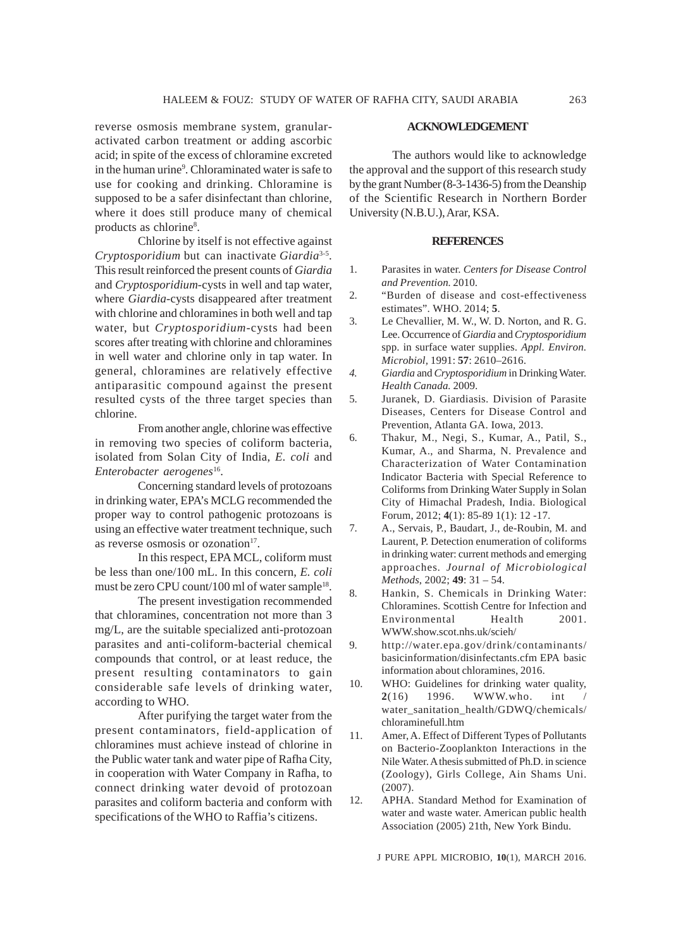reverse osmosis membrane system, granularactivated carbon treatment or adding ascorbic acid; in spite of the excess of chloramine excreted in the human urine<sup>9</sup>. Chloraminated water is safe to use for cooking and drinking. Chloramine is supposed to be a safer disinfectant than chlorine, where it does still produce many of chemical products as chlorine<sup>8</sup>.

Chlorine by itself is not effective against *Cryptosporidium* but can inactivate *Giardia*3-5. This result reinforced the present counts of *Giardia* and *Cryptosporidium*-cysts in well and tap water, where *Giardia*-cysts disappeared after treatment with chlorine and chloramines in both well and tap water, but *Cryptosporidium*-cysts had been scores after treating with chlorine and chloramines in well water and chlorine only in tap water. In general, chloramines are relatively effective antiparasitic compound against the present resulted cysts of the three target species than chlorine.

From another angle, chlorine was effective in removing two species of coliform bacteria, isolated from Solan City of India, *E. coli* and *Enterobacter aerogenes*16.

Concerning standard levels of protozoans in drinking water, EPA's MCLG recommended the proper way to control pathogenic protozoans is using an effective water treatment technique, such as reverse osmosis or ozonation<sup>17</sup>.

In this respect, EPA MCL, coliform must be less than one/100 mL. In this concern, *E. coli* must be zero CPU count/100 ml of water sample<sup>18</sup>.

The present investigation recommended that chloramines, concentration not more than 3 mg/L, are the suitable specialized anti-protozoan parasites and anti-coliform-bacterial chemical compounds that control, or at least reduce, the present resulting contaminators to gain considerable safe levels of drinking water, according to WHO.

After purifying the target water from the present contaminators, field-application of chloramines must achieve instead of chlorine in the Public water tank and water pipe of Rafha City, in cooperation with Water Company in Rafha, to connect drinking water devoid of protozoan parasites and coliform bacteria and conform with specifications of the WHO to Raffia's citizens.

### **ACKNOWLEDGEMENT**

The authors would like to acknowledge the approval and the support of this research study by the grant Number (8-3-1436-5) from the Deanship of the Scientific Research in Northern Border University (N.B.U.), Arar, KSA.

#### **REFERENCES**

- 1. Parasites in water. *Centers for Disease Control and Prevention.* 2010.
- 2. "Burden of disease and cost-effectiveness estimates". WHO. 2014; **5**.
- 3. Le Chevallier, M. W., W. D. Norton, and R. G. Lee. Occurrence of *Giardia* and *Cryptosporidium* spp. in surface water supplies. *Appl. Environ. Microbiol,* 1991: **57**: 2610–2616.
- *4. Giardia* and *Cryptosporidium* in Drinking Water. *Health Canada.* 2009.
- 5. Juranek, D. Giardiasis. Division of Parasite Diseases, Centers for Disease Control and Prevention, Atlanta GA. Iowa, 2013.
- 6. Thakur, M., Negi, S., Kumar, A., Patil, S., Kumar, A., and Sharma, N. Prevalence and Characterization of Water Contamination Indicator Bacteria with Special Reference to Coliforms from Drinking Water Supply in Solan City of Himachal Pradesh, India. Biological Forum, 2012; **4**(1): 85-89 1(1): 12 -17.
- 7. A., Servais, P., Baudart, J., de-Roubin, M. and Laurent, P. Detection enumeration of coliforms in drinking water: current methods and emerging approaches*. Journal of Microbiological Methods*, 2002; **49**: 31 – 54.
- 8. Hankin, S. Chemicals in Drinking Water: Chloramines. Scottish Centre for Infection and Environmental Health 2001. WWW.show.scot.nhs.uk/scieh/
- 9. http://water.epa.gov/drink/contaminants/ basicinformation/disinfectants.cfm EPA basic information about chloramines, 2016.
- 10. WHO: Guidelines for drinking water quality, **2**(16) 1996. WWW.who. int / water\_sanitation\_health/GDWQ/chemicals/ chloraminefull.htm
- 11. Amer, A. Effect of Different Types of Pollutants on Bacterio-Zooplankton Interactions in the Nile Water. A thesis submitted of Ph.D. in science (Zoology), Girls College, Ain Shams Uni. (2007).
- 12. APHA. Standard Method for Examination of water and waste water. American public health Association (2005) 21th, New York Bindu.

J PURE APPL MICROBIO*,* **10**(1), MARCH 2016.